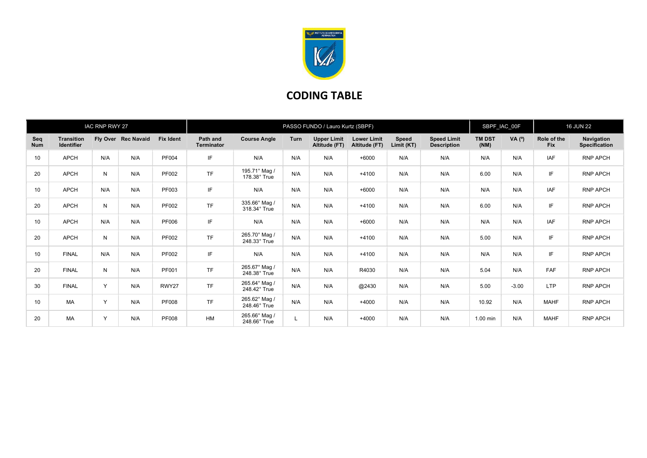

## CODING TABLE

| IAC RNP RWY 27    |                                        |              | PASSO FUNDO / Lauro Kurtz (SBPF) |                  |                        |                               |             |                                     |                                     | SBPF_IAC_00F               |                                          | <b>16 JUN 22</b>      |          |                           |                                    |
|-------------------|----------------------------------------|--------------|----------------------------------|------------------|------------------------|-------------------------------|-------------|-------------------------------------|-------------------------------------|----------------------------|------------------------------------------|-----------------------|----------|---------------------------|------------------------------------|
| Seq<br><b>Num</b> | <b>Transition</b><br><b>Identifier</b> |              | Fly Over Rec Navaid              | <b>Fix Ident</b> | Path and<br>Terminator | <b>Course Angle</b>           | <b>Turn</b> | <b>Upper Limit</b><br>Altitude (FT) | <b>Lower Limit</b><br>Altitude (FT) | <b>Speed</b><br>Limit (KT) | <b>Speed Limit</b><br><b>Description</b> | <b>TM DST</b><br>(NM) | VA $(°)$ | Role of the<br><b>Fix</b> | Navigation<br><b>Specification</b> |
| 10                | <b>APCH</b>                            | N/A          | N/A                              | PF004            | IF                     | N/A                           | N/A         | N/A                                 | $+6000$                             | N/A                        | N/A                                      | N/A                   | N/A      | <b>IAF</b>                | <b>RNP APCH</b>                    |
| 20                | <b>APCH</b>                            | ${\sf N}$    | N/A                              | PF002            | <b>TF</b>              | 195.71° Mag /<br>178.38° True | N/A         | N/A                                 | $+4100$                             | N/A                        | N/A                                      | 6.00                  | N/A      | IF                        | <b>RNP APCH</b>                    |
| 10                | <b>APCH</b>                            | N/A          | N/A                              | PF003            | IF                     | N/A                           | N/A         | N/A                                 | $+6000$                             | N/A                        | N/A                                      | N/A                   | N/A      | <b>IAF</b>                | <b>RNP APCH</b>                    |
| 20                | <b>APCH</b>                            | $\mathsf{N}$ | N/A                              | PF002            | <b>TF</b>              | 335.66° Mag /<br>318.34° True | N/A         | N/A                                 | $+4100$                             | N/A                        | N/A                                      | 6.00                  | N/A      | IF                        | <b>RNP APCH</b>                    |
| 10                | <b>APCH</b>                            | N/A          | N/A                              | PF006            | IF                     | N/A                           | N/A         | N/A                                 | $+6000$                             | N/A                        | N/A                                      | N/A                   | N/A      | <b>IAF</b>                | RNP APCH                           |
| 20                | <b>APCH</b>                            | $\mathsf{N}$ | N/A                              | PF002            | <b>TF</b>              | 265.70° Mag /<br>248.33° True | N/A         | N/A                                 | $+4100$                             | N/A                        | N/A                                      | 5.00                  | N/A      | IF                        | <b>RNP APCH</b>                    |
| 10                | <b>FINAL</b>                           | N/A          | N/A                              | PF002            | IF                     | N/A                           | N/A         | N/A                                 | $+4100$                             | N/A                        | N/A                                      | N/A                   | N/A      | IF                        | <b>RNP APCH</b>                    |
| 20                | <b>FINAL</b>                           | N            | N/A                              | PF001            | <b>TF</b>              | 265.67° Mag /<br>248.38° True | N/A         | N/A                                 | R4030                               | N/A                        | N/A                                      | 5.04                  | N/A      | <b>FAF</b>                | RNP APCH                           |
| 30                | <b>FINAL</b>                           | Y            | N/A                              | RWY27            | <b>TF</b>              | 265.64° Mag /<br>248.42° True | N/A         | N/A                                 | @2430                               | N/A                        | N/A                                      | 5.00                  | $-3.00$  | <b>LTP</b>                | <b>RNP APCH</b>                    |
| 10                | <b>MA</b>                              | Y            | N/A                              | <b>PF008</b>     | <b>TF</b>              | 265.62° Mag /<br>248.46° True | N/A         | N/A                                 | $+4000$                             | N/A                        | N/A                                      | 10.92                 | N/A      | <b>MAHF</b>               | <b>RNP APCH</b>                    |
| 20                | <b>MA</b>                              | Y            | N/A                              | <b>PF008</b>     | <b>HM</b>              | 265.66° Mag /<br>248.66° True |             | N/A                                 | $+4000$                             | N/A                        | N/A                                      | 1.00 min              | N/A      | <b>MAHF</b>               | <b>RNP APCH</b>                    |